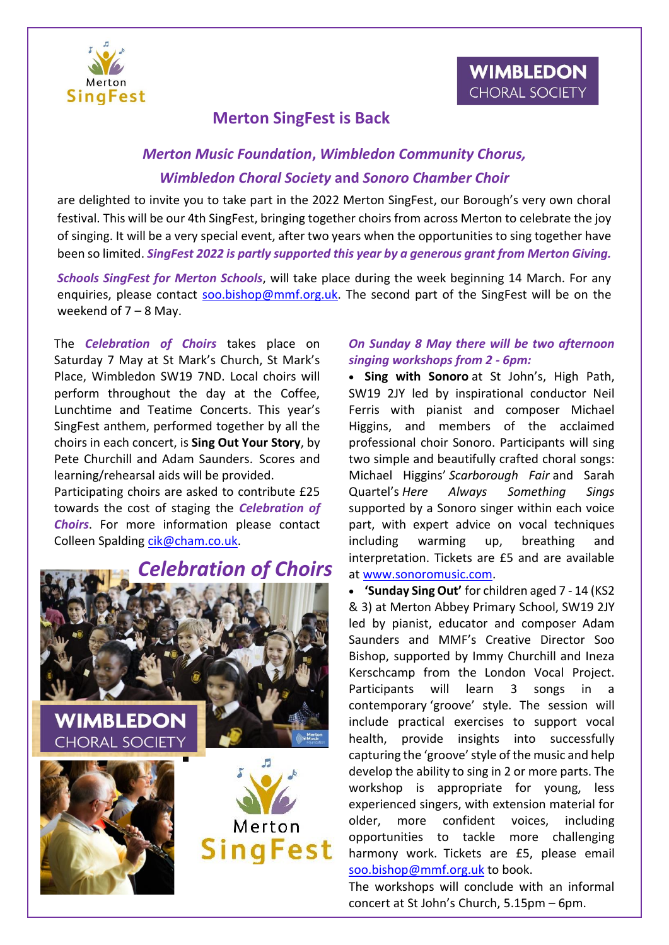



## **Merton SingFest is Back**

## *Merton Music Foundation***,** *Wimbledon Community Chorus, Wimbledon Choral Society* **and** *Sonoro Chamber Choir*

are delighted to invite you to take part in the 2022 Merton SingFest, our Borough's very own choral festival. This will be our 4th SingFest, bringing together choirs from across Merton to celebrate the joy of singing. It will be a very special event, after two years when the opportunities to sing together have been so limited. *SingFest 2022 is partly supported this year by a generous grant from Merton Giving.*

*Schools SingFest for Merton Schools*, will take place during the week beginning 14 March. For any enquiries, please contact [soo.bishop@mmf.org.uk.](mailto:soo.bishop@mmf.org.uk) The second part of the SingFest will be on the weekend of  $7 - 8$  May.

The *Celebration of Choirs* takes place on Saturday 7 May at St Mark's Church, St Mark's Place, Wimbledon SW19 7ND. Local choirs will perform throughout the day at the Coffee, Lunchtime and Teatime Concerts. This year's SingFest anthem, performed together by all the choirs in each concert, is **Sing Out Your Story**, by Pete Churchill and Adam Saunders. Scores and learning/rehearsal aids will be provided.

Participating choirs are asked to contribute £25 towards the cost of staging the *Celebration of Choirs*. For more information please contact Colleen Spalding [cik@cham.co.uk.](mailto:cik@cham.co.uk)



## *On Sunday 8 May there will be two afternoon singing workshops from 2 - 6pm:*

• **Sing with Sonoro** at St John's, High Path, SW19 2JY led by inspirational conductor Neil Ferris with pianist and composer Michael Higgins, and members of the acclaimed professional choir Sonoro. Participants will sing two simple and beautifully crafted choral songs: Michael Higgins' *Scarborough Fair* and Sarah Quartel's *Here Always Something Sings* supported by a Sonoro singer within each voice part, with expert advice on vocal techniques including warming up, breathing and interpretation. Tickets are £5 and are available at [www.sonoromusic.com.](http://www.sonoromusic.com/)

• **'Sunday Sing Out'** for children aged 7 - 14 (KS2 & 3) at Merton Abbey Primary School, SW19 2JY led by pianist, educator and composer Adam Saunders and MMF's Creative Director Soo Bishop, supported by Immy Churchill and Ineza Kerschcamp from the London Vocal Project. Participants will learn 3 songs in a contemporary 'groove' style. The session will include practical exercises to support vocal health, provide insights into successfully capturing the 'groove' style of the music and help develop the ability to sing in 2 or more parts. The workshop is appropriate for young, less experienced singers, with extension material for older, more confident voices, including opportunities to tackle more challenging harmony work. Tickets are £5, please email [soo.bishop@mmf.org.uk](mailto:soo.bishop@mmf.org.uk) to book.

The workshops will conclude with an informal concert at St John's Church, 5.15pm – 6pm.